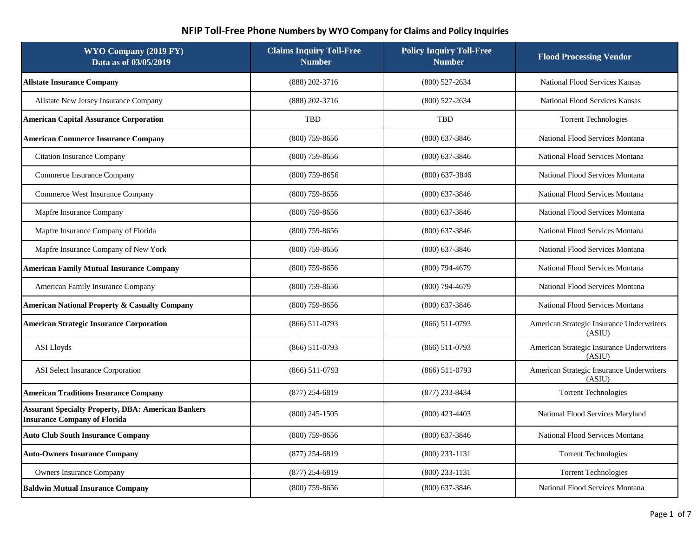| WYO Company (2019 FY)<br>Data as of 03/05/2019                                                   | <b>Claims Inquiry Toll-Free</b><br><b>Number</b> | <b>Policy Inquiry Toll-Free</b><br><b>Number</b> | <b>Flood Processing Vendor</b>                      |
|--------------------------------------------------------------------------------------------------|--------------------------------------------------|--------------------------------------------------|-----------------------------------------------------|
| <b>Allstate Insurance Company</b>                                                                | (888) 202-3716                                   | $(800)$ 527-2634                                 | National Flood Services Kansas                      |
| Allstate New Jersey Insurance Company                                                            | (888) 202-3716                                   | $(800)$ 527-2634                                 | National Flood Services Kansas                      |
| <b>American Capital Assurance Corporation</b>                                                    | <b>TBD</b>                                       | TBD                                              | <b>Torrent Technologies</b>                         |
| <b>American Commerce Insurance Company</b>                                                       | $(800)$ 759-8656                                 | $(800)$ 637-3846                                 | National Flood Services Montana                     |
| <b>Citation Insurance Company</b>                                                                | $(800)$ 759-8656                                 | $(800)$ 637-3846                                 | National Flood Services Montana                     |
| Commerce Insurance Company                                                                       | $(800)$ 759-8656                                 | $(800)$ 637-3846                                 | National Flood Services Montana                     |
| Commerce West Insurance Company                                                                  | $(800)$ 759-8656                                 | $(800)$ 637-3846                                 | National Flood Services Montana                     |
| Mapfre Insurance Company                                                                         | $(800)$ 759-8656                                 | $(800)$ 637-3846                                 | National Flood Services Montana                     |
| Mapfre Insurance Company of Florida                                                              | $(800)$ 759-8656                                 | $(800)$ 637-3846                                 | National Flood Services Montana                     |
| Mapfre Insurance Company of New York                                                             | $(800)$ 759-8656                                 | $(800)$ 637-3846                                 | National Flood Services Montana                     |
| <b>American Family Mutual Insurance Company</b>                                                  | $(800)$ 759-8656                                 | $(800)$ 794-4679                                 | National Flood Services Montana                     |
| American Family Insurance Company                                                                | $(800)$ 759-8656                                 | $(800)$ 794-4679                                 | National Flood Services Montana                     |
| <b>American National Property &amp; Casualty Company</b>                                         | $(800)$ 759-8656                                 | $(800)$ 637-3846                                 | National Flood Services Montana                     |
| <b>American Strategic Insurance Corporation</b>                                                  | $(866)$ 511-0793                                 | $(866)$ 511-0793                                 | American Strategic Insurance Underwriters<br>(ASIU) |
| <b>ASI</b> Lloyds                                                                                | $(866)$ 511-0793                                 | $(866)$ 511-0793                                 | American Strategic Insurance Underwriters<br>(ASIU) |
| ASI Select Insurance Corporation                                                                 | $(866)$ 511-0793                                 | $(866)$ 511-0793                                 | American Strategic Insurance Underwriters<br>(ASIU) |
| <b>American Traditions Insurance Company</b>                                                     | $(877)$ 254-6819                                 | $(877)$ 233-8434                                 | <b>Torrent Technologies</b>                         |
| <b>Assurant Specialty Property, DBA: American Bankers</b><br><b>Insurance Company of Florida</b> | $(800)$ 245-1505                                 | $(800)$ 423-4403                                 | National Flood Services Maryland                    |
| <b>Auto Club South Insurance Company</b>                                                         | $(800)$ 759-8656                                 | $(800)$ 637-3846                                 | National Flood Services Montana                     |
| <b>Auto-Owners Insurance Company</b>                                                             | $(877)$ 254-6819                                 | $(800)$ 233-1131                                 | <b>Torrent Technologies</b>                         |
| <b>Owners Insurance Company</b>                                                                  | $(877)$ 254-6819                                 | $(800)$ 233-1131                                 | <b>Torrent Technologies</b>                         |
| <b>Baldwin Mutual Insurance Company</b>                                                          | $(800)$ 759-8656                                 | $(800)$ 637-3846                                 | National Flood Services Montana                     |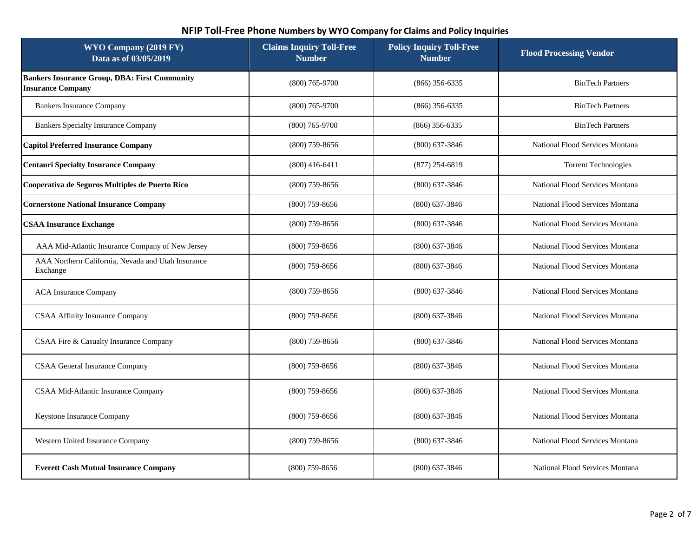| WYO Company (2019 FY)<br>Data as of 03/05/2019                                   | <b>Claims Inquiry Toll-Free</b><br><b>Number</b> | <b>Policy Inquiry Toll-Free</b><br><b>Number</b> | <b>Flood Processing Vendor</b>  |
|----------------------------------------------------------------------------------|--------------------------------------------------|--------------------------------------------------|---------------------------------|
| <b>Bankers Insurance Group, DBA: First Community</b><br><b>Insurance Company</b> | $(800)$ 765-9700                                 | $(866)$ 356-6335                                 | <b>BinTech Partners</b>         |
| <b>Bankers Insurance Company</b>                                                 | $(800)$ 765-9700                                 | $(866)$ 356-6335                                 | <b>BinTech Partners</b>         |
| <b>Bankers Specialty Insurance Company</b>                                       | $(800)$ 765-9700                                 | $(866)$ 356-6335                                 | <b>BinTech Partners</b>         |
| <b>Capitol Preferred Insurance Company</b>                                       | $(800)$ 759-8656                                 | $(800)$ 637-3846                                 | National Flood Services Montana |
| <b>Centauri Specialty Insurance Company</b>                                      | $(800)$ 416-6411                                 | $(877)$ 254-6819                                 | <b>Torrent Technologies</b>     |
| Cooperativa de Seguros Multiples de Puerto Rico                                  | $(800)$ 759-8656                                 | $(800)$ 637-3846                                 | National Flood Services Montana |
| <b>Cornerstone National Insurance Company</b>                                    | $(800)$ 759-8656                                 | $(800)$ 637-3846                                 | National Flood Services Montana |
| <b>CSAA Insurance Exchange</b>                                                   | $(800)$ 759-8656                                 | $(800)$ 637-3846                                 | National Flood Services Montana |
| AAA Mid-Atlantic Insurance Company of New Jersey                                 | $(800)$ 759-8656                                 | $(800)$ 637-3846                                 | National Flood Services Montana |
| AAA Northern California, Nevada and Utah Insurance<br>Exchange                   | $(800)$ 759-8656                                 | $(800)$ 637-3846                                 | National Flood Services Montana |
| <b>ACA</b> Insurance Company                                                     | $(800)$ 759-8656                                 | $(800)$ 637-3846                                 | National Flood Services Montana |
| <b>CSAA Affinity Insurance Company</b>                                           | $(800)$ 759-8656                                 | $(800)$ 637-3846                                 | National Flood Services Montana |
| CSAA Fire & Casualty Insurance Company                                           | $(800)$ 759-8656                                 | $(800)$ 637-3846                                 | National Flood Services Montana |
| CSAA General Insurance Company                                                   | $(800)$ 759-8656                                 | $(800)$ 637-3846                                 | National Flood Services Montana |
| CSAA Mid-Atlantic Insurance Company                                              | $(800)$ 759-8656                                 | $(800)$ 637-3846                                 | National Flood Services Montana |
| Keystone Insurance Company                                                       | $(800)$ 759-8656                                 | $(800)$ 637-3846                                 | National Flood Services Montana |
| Western United Insurance Company                                                 | $(800)$ 759-8656                                 | $(800)$ 637-3846                                 | National Flood Services Montana |
| <b>Everett Cash Mutual Insurance Company</b>                                     | $(800)$ 759-8656                                 | $(800)$ 637-3846                                 | National Flood Services Montana |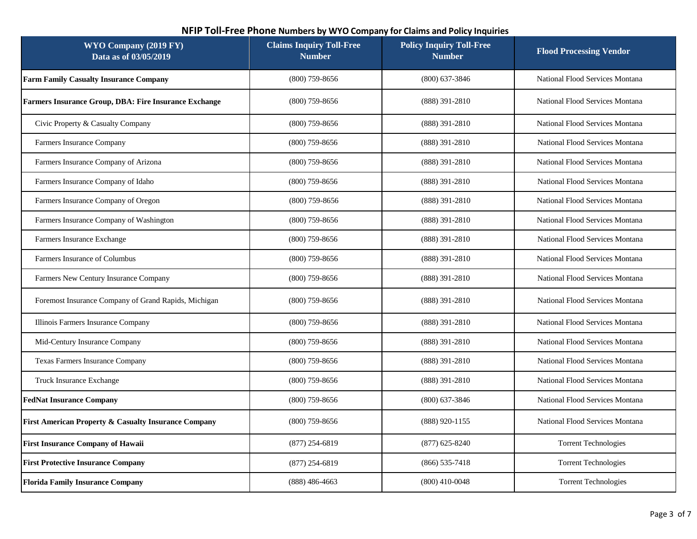| WYO Company (2019 FY)<br>Data as of 03/05/2019        | <b>Claims Inquiry Toll-Free</b><br><b>Number</b> | <b>Policy Inquiry Toll-Free</b><br><b>Number</b> | <b>Flood Processing Vendor</b>  |
|-------------------------------------------------------|--------------------------------------------------|--------------------------------------------------|---------------------------------|
| <b>Farm Family Casualty Insurance Company</b>         | $(800)$ 759-8656                                 | $(800)$ 637-3846                                 | National Flood Services Montana |
| Farmers Insurance Group, DBA: Fire Insurance Exchange | $(800)$ 759-8656                                 | (888) 391-2810                                   | National Flood Services Montana |
| Civic Property & Casualty Company                     | $(800)$ 759-8656                                 | (888) 391-2810                                   | National Flood Services Montana |
| Farmers Insurance Company                             | $(800)$ 759-8656                                 | $(888)$ 391-2810                                 | National Flood Services Montana |
| Farmers Insurance Company of Arizona                  | $(800)$ 759-8656                                 | (888) 391-2810                                   | National Flood Services Montana |
| Farmers Insurance Company of Idaho                    | $(800)$ 759-8656                                 | $(888)$ 391-2810                                 | National Flood Services Montana |
| Farmers Insurance Company of Oregon                   | $(800)$ 759-8656                                 | (888) 391-2810                                   | National Flood Services Montana |
| Farmers Insurance Company of Washington               | $(800)$ 759-8656                                 | (888) 391-2810                                   | National Flood Services Montana |
| Farmers Insurance Exchange                            | $(800)$ 759-8656                                 | (888) 391-2810                                   | National Flood Services Montana |
| Farmers Insurance of Columbus                         | $(800)$ 759-8656                                 | (888) 391-2810                                   | National Flood Services Montana |
| Farmers New Century Insurance Company                 | $(800)$ 759-8656                                 | (888) 391-2810                                   | National Flood Services Montana |
| Foremost Insurance Company of Grand Rapids, Michigan  | $(800)$ 759-8656                                 | (888) 391-2810                                   | National Flood Services Montana |
| Illinois Farmers Insurance Company                    | $(800)$ 759-8656                                 | (888) 391-2810                                   | National Flood Services Montana |
| Mid-Century Insurance Company                         | $(800)$ 759-8656                                 | (888) 391-2810                                   | National Flood Services Montana |
| Texas Farmers Insurance Company                       | $(800)$ 759-8656                                 | (888) 391-2810                                   | National Flood Services Montana |
| Truck Insurance Exchange                              | $(800)$ 759-8656                                 | (888) 391-2810                                   | National Flood Services Montana |
| <b>FedNat Insurance Company</b>                       | $(800)$ 759-8656                                 | $(800)$ 637-3846                                 | National Flood Services Montana |
| First American Property & Casualty Insurance Company  | $(800)$ 759-8656                                 | (888) 920-1155                                   | National Flood Services Montana |
| <b>First Insurance Company of Hawaii</b>              | $(877)$ 254-6819                                 | $(877)$ 625-8240                                 | <b>Torrent Technologies</b>     |
| <b>First Protective Insurance Company</b>             | $(877)$ 254-6819                                 | $(866)$ 535-7418                                 | <b>Torrent Technologies</b>     |
| <b>Florida Family Insurance Company</b>               | $(888)$ 486-4663                                 | $(800)$ 410-0048                                 | <b>Torrent Technologies</b>     |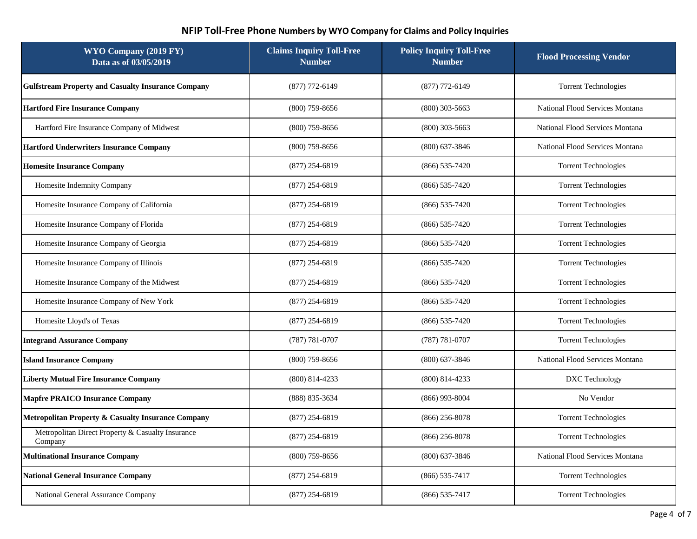| WYO Company (2019 FY)<br>Data as of 03/05/2019               | <b>Claims Inquiry Toll-Free</b><br><b>Number</b> | <b>Policy Inquiry Toll-Free</b><br><b>Number</b> | <b>Flood Processing Vendor</b>  |
|--------------------------------------------------------------|--------------------------------------------------|--------------------------------------------------|---------------------------------|
| <b>Gulfstream Property and Casualty Insurance Company</b>    | $(877)$ 772-6149                                 | $(877)$ 772-6149                                 | <b>Torrent Technologies</b>     |
| <b>Hartford Fire Insurance Company</b>                       | $(800)$ 759-8656                                 | $(800)$ 303-5663                                 | National Flood Services Montana |
| Hartford Fire Insurance Company of Midwest                   | $(800)$ 759-8656                                 | $(800)$ 303-5663                                 | National Flood Services Montana |
| <b>Hartford Underwriters Insurance Company</b>               | $(800)$ 759-8656                                 | $(800)$ 637-3846                                 | National Flood Services Montana |
| <b>Homesite Insurance Company</b>                            | $(877)$ 254-6819                                 | $(866) 535 - 7420$                               | <b>Torrent Technologies</b>     |
| Homesite Indemnity Company                                   | $(877)$ 254-6819                                 | $(866) 535 - 7420$                               | <b>Torrent Technologies</b>     |
| Homesite Insurance Company of California                     | $(877)$ 254-6819                                 | $(866) 535 - 7420$                               | <b>Torrent Technologies</b>     |
| Homesite Insurance Company of Florida                        | $(877)$ 254-6819                                 | $(866) 535 - 7420$                               | <b>Torrent Technologies</b>     |
| Homesite Insurance Company of Georgia                        | $(877)$ 254-6819                                 | $(866) 535 - 7420$                               | <b>Torrent Technologies</b>     |
| Homesite Insurance Company of Illinois                       | $(877)$ 254-6819                                 | $(866) 535 - 7420$                               | <b>Torrent Technologies</b>     |
| Homesite Insurance Company of the Midwest                    | $(877)$ 254-6819                                 | $(866)$ 535-7420                                 | <b>Torrent Technologies</b>     |
| Homesite Insurance Company of New York                       | $(877)$ 254-6819                                 | $(866) 535 - 7420$                               | <b>Torrent Technologies</b>     |
| Homesite Lloyd's of Texas                                    | $(877)$ 254-6819                                 | $(866)$ 535-7420                                 | <b>Torrent Technologies</b>     |
| <b>Integrand Assurance Company</b>                           | $(787) 781 - 0707$                               | $(787) 781 - 0707$                               | <b>Torrent Technologies</b>     |
| <b>Island Insurance Company</b>                              | $(800)$ 759-8656                                 | $(800)$ 637-3846                                 | National Flood Services Montana |
| <b>Liberty Mutual Fire Insurance Company</b>                 | $(800)$ 814-4233                                 | $(800)$ 814-4233                                 | DXC Technology                  |
| <b>Mapfre PRAICO Insurance Company</b>                       | (888) 835-3634                                   | $(866)$ 993-8004                                 | No Vendor                       |
| Metropolitan Property & Casualty Insurance Company           | $(877)$ 254-6819                                 | $(866)$ 256-8078                                 | <b>Torrent Technologies</b>     |
| Metropolitan Direct Property & Casualty Insurance<br>Company | (877) 254-6819                                   | $(866)$ 256-8078                                 | <b>Torrent Technologies</b>     |
| <b>Multinational Insurance Company</b>                       | $(800)$ 759-8656                                 | $(800)$ 637-3846                                 | National Flood Services Montana |
| <b>National General Insurance Company</b>                    | $(877)$ 254-6819                                 | $(866)$ 535-7417                                 | <b>Torrent Technologies</b>     |
| National General Assurance Company                           | $(877)$ 254-6819                                 | $(866) 535 - 7417$                               | <b>Torrent Technologies</b>     |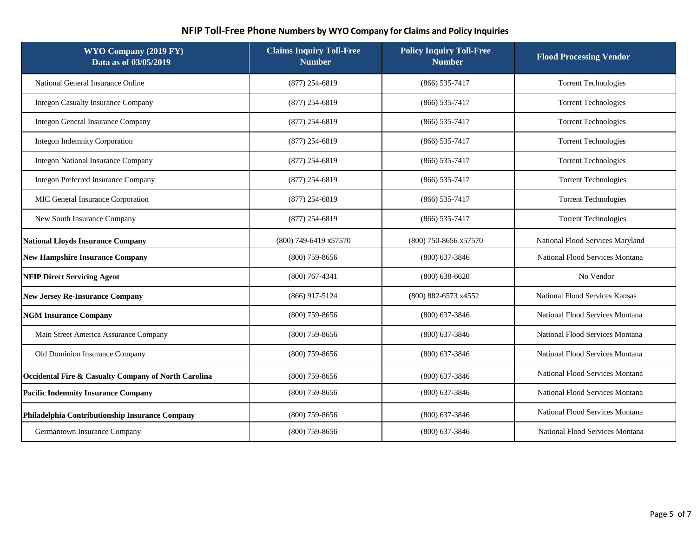| WYO Company (2019 FY)<br>Data as of 03/05/2019       | <b>Claims Inquiry Toll-Free</b><br><b>Number</b> | <b>Policy Inquiry Toll-Free</b><br><b>Number</b> | <b>Flood Processing Vendor</b>   |
|------------------------------------------------------|--------------------------------------------------|--------------------------------------------------|----------------------------------|
| National General Insurance Online                    | $(877)$ 254-6819                                 | $(866)$ 535-7417                                 | <b>Torrent Technologies</b>      |
| <b>Integon Casualty Insurance Company</b>            | $(877)$ 254-6819                                 | $(866)$ 535-7417                                 | <b>Torrent Technologies</b>      |
| Integon General Insurance Company                    | $(877)$ 254-6819                                 | $(866)$ 535-7417                                 | <b>Torrent Technologies</b>      |
| <b>Integon Indemnity Corporation</b>                 | $(877)$ 254-6819                                 | $(866)$ 535-7417                                 | <b>Torrent Technologies</b>      |
| <b>Integon National Insurance Company</b>            | $(877)$ 254-6819                                 | $(866)$ 535-7417                                 | <b>Torrent Technologies</b>      |
| <b>Integon Preferred Insurance Company</b>           | $(877)$ 254-6819                                 | $(866)$ 535-7417                                 | <b>Torrent Technologies</b>      |
| MIC General Insurance Corporation                    | $(877)$ 254-6819                                 | $(866)$ 535-7417                                 | <b>Torrent Technologies</b>      |
| New South Insurance Company                          | $(877)$ 254-6819                                 | $(866)$ 535-7417                                 | <b>Torrent Technologies</b>      |
| <b>National Lloyds Insurance Company</b>             | (800) 749-6419 x57570                            | (800) 750-8656 x57570                            | National Flood Services Maryland |
| <b>New Hampshire Insurance Company</b>               | $(800)$ 759-8656                                 | $(800)$ 637-3846                                 | National Flood Services Montana  |
| <b>NFIP Direct Servicing Agent</b>                   | $(800)$ 767-4341                                 | $(800)$ 638-6620                                 | No Vendor                        |
| <b>New Jersey Re-Insurance Company</b>               | $(866)$ 917-5124                                 | (800) 882-6573 x4552                             | National Flood Services Kansas   |
| <b>NGM Insurance Company</b>                         | $(800)$ 759-8656                                 | $(800)$ 637-3846                                 | National Flood Services Montana  |
| Main Street America Assurance Company                | $(800)$ 759-8656                                 | $(800)$ 637-3846                                 | National Flood Services Montana  |
| Old Dominion Insurance Company                       | $(800)$ 759-8656                                 | $(800)$ 637-3846                                 | National Flood Services Montana  |
| Occidental Fire & Casualty Company of North Carolina | $(800)$ 759-8656                                 | $(800)$ 637-3846                                 | National Flood Services Montana  |
| <b>Pacific Indemnity Insurance Company</b>           | $(800)$ 759-8656                                 | $(800)$ 637-3846                                 | National Flood Services Montana  |
| Philadelphia Contributionship Insurance Company      | $(800)$ 759-8656                                 | $(800)$ 637-3846                                 | National Flood Services Montana  |
| Germantown Insurance Company                         | $(800)$ 759-8656                                 | $(800)$ 637-3846                                 | National Flood Services Montana  |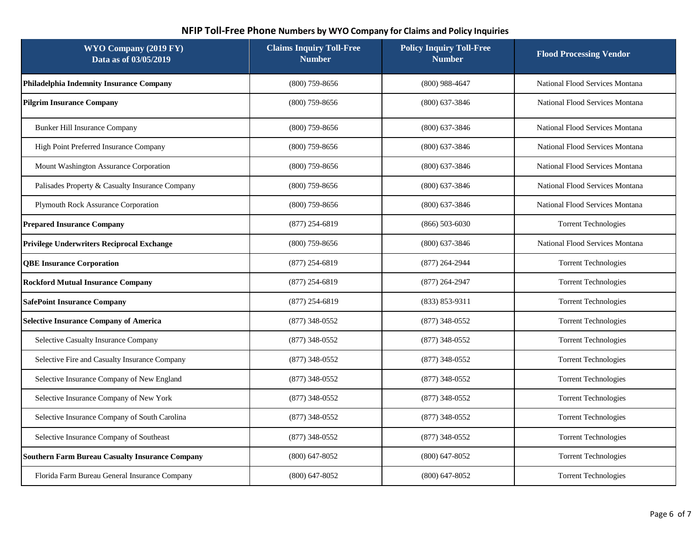| WYO Company (2019 FY)<br>Data as of 03/05/2019         | <b>Claims Inquiry Toll-Free</b><br><b>Number</b> | <b>Policy Inquiry Toll-Free</b><br><b>Number</b> | <b>Flood Processing Vendor</b>  |
|--------------------------------------------------------|--------------------------------------------------|--------------------------------------------------|---------------------------------|
| Philadelphia Indemnity Insurance Company               | $(800)$ 759-8656                                 | $(800)$ 988-4647                                 | National Flood Services Montana |
| <b>Pilgrim Insurance Company</b>                       | $(800)$ 759-8656                                 | $(800)$ 637-3846                                 | National Flood Services Montana |
| <b>Bunker Hill Insurance Company</b>                   | $(800)$ 759-8656                                 | $(800)$ 637-3846                                 | National Flood Services Montana |
| High Point Preferred Insurance Company                 | $(800)$ 759-8656                                 | $(800)$ 637-3846                                 | National Flood Services Montana |
| Mount Washington Assurance Corporation                 | $(800)$ 759-8656                                 | $(800)$ 637-3846                                 | National Flood Services Montana |
| Palisades Property & Casualty Insurance Company        | $(800)$ 759-8656                                 | $(800)$ 637-3846                                 | National Flood Services Montana |
| Plymouth Rock Assurance Corporation                    | $(800)$ 759-8656                                 | $(800)$ 637-3846                                 | National Flood Services Montana |
| <b>Prepared Insurance Company</b>                      | $(877)$ 254-6819                                 | $(866) 503 - 6030$                               | <b>Torrent Technologies</b>     |
| Privilege Underwriters Reciprocal Exchange             | $(800)$ 759-8656                                 | $(800)$ 637-3846                                 | National Flood Services Montana |
| <b>QBE Insurance Corporation</b>                       | $(877)$ 254-6819                                 | $(877)$ 264-2944                                 | <b>Torrent Technologies</b>     |
| <b>Rockford Mutual Insurance Company</b>               | $(877)$ 254-6819                                 | $(877)$ 264-2947                                 | <b>Torrent Technologies</b>     |
| <b>SafePoint Insurance Company</b>                     | $(877)$ 254-6819                                 | $(833) 853 - 9311$                               | <b>Torrent Technologies</b>     |
| <b>Selective Insurance Company of America</b>          | $(877)$ 348-0552                                 | $(877)$ 348-0552                                 | <b>Torrent Technologies</b>     |
| Selective Casualty Insurance Company                   | $(877)$ 348-0552                                 | $(877)$ 348-0552                                 | <b>Torrent Technologies</b>     |
| Selective Fire and Casualty Insurance Company          | $(877)$ 348-0552                                 | (877) 348-0552                                   | <b>Torrent Technologies</b>     |
| Selective Insurance Company of New England             | $(877)$ 348-0552                                 | $(877)$ 348-0552                                 | <b>Torrent Technologies</b>     |
| Selective Insurance Company of New York                | $(877)$ 348-0552                                 | $(877)$ 348-0552                                 | <b>Torrent Technologies</b>     |
| Selective Insurance Company of South Carolina          | $(877)$ 348-0552                                 | $(877)$ 348-0552                                 | <b>Torrent Technologies</b>     |
| Selective Insurance Company of Southeast               | $(877)$ 348-0552                                 | $(877)$ 348-0552                                 | <b>Torrent Technologies</b>     |
| <b>Southern Farm Bureau Casualty Insurance Company</b> | $(800)$ 647-8052                                 | $(800)$ 647-8052                                 | <b>Torrent Technologies</b>     |
| Florida Farm Bureau General Insurance Company          | $(800)$ 647-8052                                 | $(800)$ 647-8052                                 | <b>Torrent Technologies</b>     |